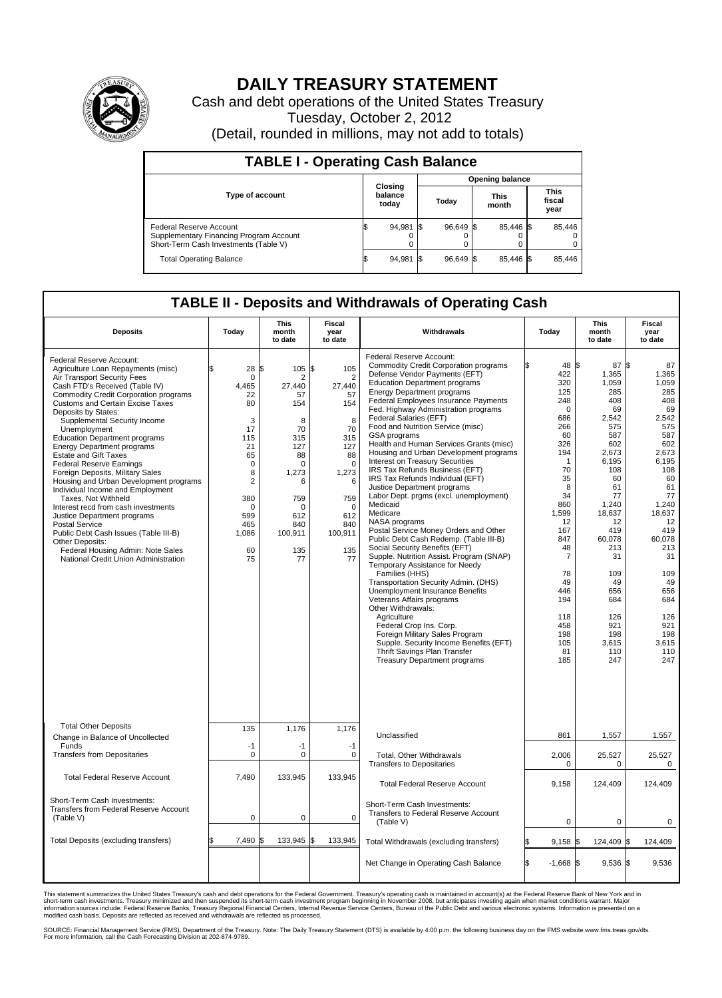

## **DAILY TREASURY STATEMENT**

Cash and debt operations of the United States Treasury Tuesday, October 2, 2012 (Detail, rounded in millions, may not add to totals)

| <b>TABLE I - Operating Cash Balance</b>                                                                     |                             |        |       |                        |                      |                |                               |        |  |  |  |
|-------------------------------------------------------------------------------------------------------------|-----------------------------|--------|-------|------------------------|----------------------|----------------|-------------------------------|--------|--|--|--|
|                                                                                                             |                             |        |       | <b>Opening balance</b> |                      |                |                               |        |  |  |  |
| <b>Type of account</b>                                                                                      | Closing<br>balance<br>today |        | Today |                        | <b>This</b><br>month |                | <b>This</b><br>fiscal<br>year |        |  |  |  |
| Federal Reserve Account<br>Supplementary Financing Program Account<br>Short-Term Cash Investments (Table V) |                             | 94,981 |       | 96,649 \$              |                      | 85,446 \$<br>0 |                               | 85,446 |  |  |  |
| <b>Total Operating Balance</b>                                                                              |                             | 94,981 |       | 96.649 \$              |                      | 85.446 \$      |                               | 85,446 |  |  |  |

## **TABLE II - Deposits and Withdrawals of Operating Cash**

| <b>Deposits</b>                                                                                                                                                                                                                                                                                                                                                                                                                                                                                                                                                                                                                                                                                                                                                                                                             | Today                                                                                                                                                       | <b>This</b><br>month<br>to date                                                                                                               | <b>Fiscal</b><br>year<br>to date                                                                                                                                           | Withdrawals                                                                                                                                                                                                                                                                                                                                                                                                                                                                                                                                                                                                                                                                                                                                                                                                                                                                                                                                                                                                                                                                                                                                                                                                           | Today                                                                                                                                                                                                                                                      | <b>This</b><br>month<br>to date                                                                                                                                                                                                                  | <b>Fiscal</b><br>year<br>to date                                                                                                                                                                                                                |  |  |  |  |  |
|-----------------------------------------------------------------------------------------------------------------------------------------------------------------------------------------------------------------------------------------------------------------------------------------------------------------------------------------------------------------------------------------------------------------------------------------------------------------------------------------------------------------------------------------------------------------------------------------------------------------------------------------------------------------------------------------------------------------------------------------------------------------------------------------------------------------------------|-------------------------------------------------------------------------------------------------------------------------------------------------------------|-----------------------------------------------------------------------------------------------------------------------------------------------|----------------------------------------------------------------------------------------------------------------------------------------------------------------------------|-----------------------------------------------------------------------------------------------------------------------------------------------------------------------------------------------------------------------------------------------------------------------------------------------------------------------------------------------------------------------------------------------------------------------------------------------------------------------------------------------------------------------------------------------------------------------------------------------------------------------------------------------------------------------------------------------------------------------------------------------------------------------------------------------------------------------------------------------------------------------------------------------------------------------------------------------------------------------------------------------------------------------------------------------------------------------------------------------------------------------------------------------------------------------------------------------------------------------|------------------------------------------------------------------------------------------------------------------------------------------------------------------------------------------------------------------------------------------------------------|--------------------------------------------------------------------------------------------------------------------------------------------------------------------------------------------------------------------------------------------------|-------------------------------------------------------------------------------------------------------------------------------------------------------------------------------------------------------------------------------------------------|--|--|--|--|--|
| Federal Reserve Account:<br>Agriculture Loan Repayments (misc)<br>Air Transport Security Fees<br>Cash FTD's Received (Table IV)<br>Commodity Credit Corporation programs<br><b>Customs and Certain Excise Taxes</b><br>Deposits by States:<br>Supplemental Security Income<br>Unemployment<br><b>Education Department programs</b><br><b>Energy Department programs</b><br><b>Estate and Gift Taxes</b><br><b>Federal Reserve Earnings</b><br>Foreign Deposits, Military Sales<br>Housing and Urban Development programs<br>Individual Income and Employment<br>Taxes, Not Withheld<br>Interest recd from cash investments<br>Justice Department programs<br><b>Postal Service</b><br>Public Debt Cash Issues (Table III-B)<br>Other Deposits:<br>Federal Housing Admin: Note Sales<br>National Credit Union Administration | 28 S<br>$\mathbf 0$<br>4.465<br>22<br>80<br>3<br>17<br>115<br>21<br>65<br>0<br>8<br>$\overline{2}$<br>380<br>$\mathbf 0$<br>599<br>465<br>1,086<br>60<br>75 | 105<br>2<br>27.440<br>57<br>154<br>8<br>70<br>315<br>127<br>88<br>$\mathbf 0$<br>1,273<br>6<br>759<br>0<br>612<br>840<br>100,911<br>135<br>77 | \$<br>105<br>$\overline{2}$<br>27.440<br>57<br>154<br>8<br>70<br>315<br>127<br>88<br>$\mathbf 0$<br>1,273<br>6<br>759<br>$\mathbf 0$<br>612<br>840<br>100,911<br>135<br>77 | Federal Reserve Account:<br><b>Commodity Credit Corporation programs</b><br>Defense Vendor Payments (EFT)<br><b>Education Department programs</b><br><b>Energy Department programs</b><br>Federal Employees Insurance Payments<br>Fed. Highway Administration programs<br>Federal Salaries (EFT)<br>Food and Nutrition Service (misc)<br>GSA programs<br>Health and Human Services Grants (misc)<br>Housing and Urban Development programs<br>Interest on Treasury Securities<br>IRS Tax Refunds Business (EFT)<br>IRS Tax Refunds Individual (EFT)<br>Justice Department programs<br>Labor Dept. prgms (excl. unemployment)<br>Medicaid<br>Medicare<br>NASA programs<br>Postal Service Money Orders and Other<br>Public Debt Cash Redemp. (Table III-B)<br>Social Security Benefits (EFT)<br>Supple. Nutrition Assist. Program (SNAP)<br>Temporary Assistance for Needy<br>Families (HHS)<br>Transportation Security Admin. (DHS)<br>Unemployment Insurance Benefits<br>Veterans Affairs programs<br>Other Withdrawals:<br>Agriculture<br>Federal Crop Ins. Corp.<br>Foreign Military Sales Program<br>Supple. Security Income Benefits (EFT)<br>Thrift Savings Plan Transfer<br><b>Treasury Department programs</b> | 48 \$<br>422<br>320<br>125<br>248<br>$\mathbf 0$<br>686<br>266<br>60<br>326<br>194<br>$\overline{1}$<br>70<br>35<br>8<br>34<br>860<br>1,599<br>12<br>167<br>847<br>48<br>$\overline{7}$<br>78<br>49<br>446<br>194<br>118<br>458<br>198<br>105<br>81<br>185 | 87S<br>1,365<br>1,059<br>285<br>408<br>69<br>2,542<br>575<br>587<br>602<br>2,673<br>6,195<br>108<br>60<br>61<br>77<br>1.240<br>18,637<br>12<br>419<br>60,078<br>213<br>31<br>109<br>49<br>656<br>684<br>126<br>921<br>198<br>3,615<br>110<br>247 | 87<br>1,365<br>1,059<br>285<br>408<br>69<br>2,542<br>575<br>587<br>602<br>2,673<br>6,195<br>108<br>60<br>61<br>77<br>1.240<br>18,637<br>12<br>419<br>60,078<br>213<br>31<br>109<br>49<br>656<br>684<br>126<br>921<br>198<br>3,615<br>110<br>247 |  |  |  |  |  |
| <b>Total Other Deposits</b><br>Change in Balance of Uncollected                                                                                                                                                                                                                                                                                                                                                                                                                                                                                                                                                                                                                                                                                                                                                             | 135                                                                                                                                                         | 1,176                                                                                                                                         | 1,176                                                                                                                                                                      | Unclassified                                                                                                                                                                                                                                                                                                                                                                                                                                                                                                                                                                                                                                                                                                                                                                                                                                                                                                                                                                                                                                                                                                                                                                                                          | 861                                                                                                                                                                                                                                                        | 1,557                                                                                                                                                                                                                                            | 1,557                                                                                                                                                                                                                                           |  |  |  |  |  |
| Funds<br><b>Transfers from Depositaries</b>                                                                                                                                                                                                                                                                                                                                                                                                                                                                                                                                                                                                                                                                                                                                                                                 | $-1$<br>$\mathbf 0$                                                                                                                                         | $-1$<br>$\mathbf 0$                                                                                                                           | $-1$<br>$\mathbf 0$                                                                                                                                                        | Total, Other Withdrawals<br><b>Transfers to Depositaries</b>                                                                                                                                                                                                                                                                                                                                                                                                                                                                                                                                                                                                                                                                                                                                                                                                                                                                                                                                                                                                                                                                                                                                                          | 2,006<br>$\mathbf 0$                                                                                                                                                                                                                                       | 25,527<br>$\mathbf 0$                                                                                                                                                                                                                            | 25,527<br>$\mathbf 0$                                                                                                                                                                                                                           |  |  |  |  |  |
| <b>Total Federal Reserve Account</b>                                                                                                                                                                                                                                                                                                                                                                                                                                                                                                                                                                                                                                                                                                                                                                                        | 7.490                                                                                                                                                       | 133.945                                                                                                                                       | 133,945                                                                                                                                                                    | <b>Total Federal Reserve Account</b>                                                                                                                                                                                                                                                                                                                                                                                                                                                                                                                                                                                                                                                                                                                                                                                                                                                                                                                                                                                                                                                                                                                                                                                  | 9,158                                                                                                                                                                                                                                                      | 124,409                                                                                                                                                                                                                                          | 124,409                                                                                                                                                                                                                                         |  |  |  |  |  |
| Short-Term Cash Investments:<br>Transfers from Federal Reserve Account<br>(Table V)                                                                                                                                                                                                                                                                                                                                                                                                                                                                                                                                                                                                                                                                                                                                         | $\mathbf 0$                                                                                                                                                 | 0                                                                                                                                             | $\mathbf 0$                                                                                                                                                                | Short-Term Cash Investments:<br>Transfers to Federal Reserve Account<br>(Table V)                                                                                                                                                                                                                                                                                                                                                                                                                                                                                                                                                                                                                                                                                                                                                                                                                                                                                                                                                                                                                                                                                                                                     | $\mathbf 0$                                                                                                                                                                                                                                                | 0                                                                                                                                                                                                                                                | 0                                                                                                                                                                                                                                               |  |  |  |  |  |
| Total Deposits (excluding transfers)                                                                                                                                                                                                                                                                                                                                                                                                                                                                                                                                                                                                                                                                                                                                                                                        | 7.490 \$                                                                                                                                                    | 133,945                                                                                                                                       | 133,945                                                                                                                                                                    | Total Withdrawals (excluding transfers)                                                                                                                                                                                                                                                                                                                                                                                                                                                                                                                                                                                                                                                                                                                                                                                                                                                                                                                                                                                                                                                                                                                                                                               | $9,158$ \$                                                                                                                                                                                                                                                 | 124,409 \$                                                                                                                                                                                                                                       | 124,409                                                                                                                                                                                                                                         |  |  |  |  |  |
|                                                                                                                                                                                                                                                                                                                                                                                                                                                                                                                                                                                                                                                                                                                                                                                                                             |                                                                                                                                                             |                                                                                                                                               |                                                                                                                                                                            | Net Change in Operating Cash Balance                                                                                                                                                                                                                                                                                                                                                                                                                                                                                                                                                                                                                                                                                                                                                                                                                                                                                                                                                                                                                                                                                                                                                                                  | l\$<br>$-1,668$ \$                                                                                                                                                                                                                                         | $9,536$ \$                                                                                                                                                                                                                                       | 9,536                                                                                                                                                                                                                                           |  |  |  |  |  |

This statement summarizes the United States Treasury's cash and debt operations for the Federal Government. Treasury's operating cash is maintained in account(s) at the Federal Reserve Bank of New York and in<br>short-term ca

SOURCE: Financial Management Service (FMS), Department of the Treasury. Note: The Daily Treasury Statement (DTS) is available by 4:00 p.m. the following business day on the FMS website www.fms.treas.gov/dts.<br>For more infor